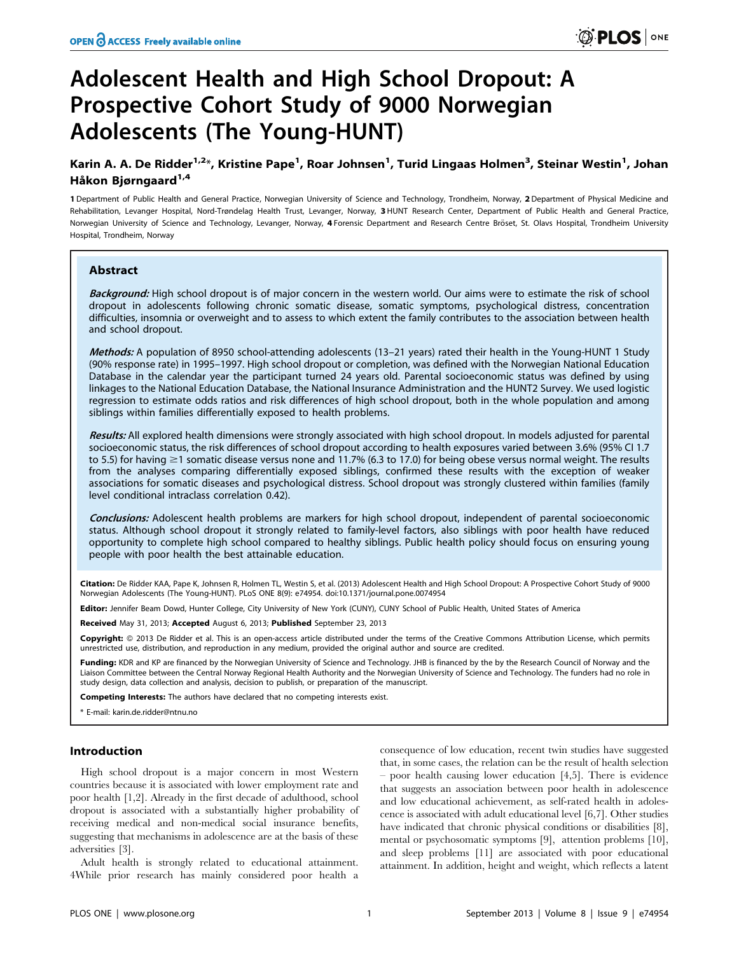# Adolescent Health and High School Dropout: A Prospective Cohort Study of 9000 Norwegian Adolescents (The Young-HUNT)

## Karin A. A. De Ridder<sup>1,2</sup>\*, Kristine Pape<sup>1</sup>, Roar Johnsen<sup>1</sup>, Turid Lingaas Holmen<sup>3</sup>, Steinar Westin<sup>1</sup>, Johan Håkon Bjørngaard<sup>1,4</sup>

1 Department of Public Health and General Practice, Norwegian University of Science and Technology, Trondheim, Norway, 2 Department of Physical Medicine and Rehabilitation, Levanger Hospital, Nord-Trøndelag Health Trust, Levanger, Norway, 3 HUNT Research Center, Department of Public Health and General Practice, Norwegian University of Science and Technology, Levanger, Norway, 4 Forensic Department and Research Centre Bröset, St. Olavs Hospital, Trondheim University Hospital, Trondheim, Norway

## Abstract

Background: High school dropout is of major concern in the western world. Our aims were to estimate the risk of school dropout in adolescents following chronic somatic disease, somatic symptoms, psychological distress, concentration difficulties, insomnia or overweight and to assess to which extent the family contributes to the association between health and school dropout.

Methods: A population of 8950 school-attending adolescents (13-21 years) rated their health in the Young-HUNT 1 Study (90% response rate) in 1995–1997. High school dropout or completion, was defined with the Norwegian National Education Database in the calendar year the participant turned 24 years old. Parental socioeconomic status was defined by using linkages to the National Education Database, the National Insurance Administration and the HUNT2 Survey. We used logistic regression to estimate odds ratios and risk differences of high school dropout, both in the whole population and among siblings within families differentially exposed to health problems.

Results: All explored health dimensions were strongly associated with high school dropout. In models adjusted for parental socioeconomic status, the risk differences of school dropout according to health exposures varied between 3.6% (95% CI 1.7 to 5.5) for having  $\geq$ 1 somatic disease versus none and 11.7% (6.3 to 17.0) for being obese versus normal weight. The results from the analyses comparing differentially exposed siblings, confirmed these results with the exception of weaker associations for somatic diseases and psychological distress. School dropout was strongly clustered within families (family level conditional intraclass correlation 0.42).

Conclusions: Adolescent health problems are markers for high school dropout, independent of parental socioeconomic status. Although school dropout it strongly related to family-level factors, also siblings with poor health have reduced opportunity to complete high school compared to healthy siblings. Public health policy should focus on ensuring young people with poor health the best attainable education.

Citation: De Ridder KAA, Pape K, Johnsen R, Holmen TL, Westin S, et al. (2013) Adolescent Health and High School Dropout: A Prospective Cohort Study of 9000 Norwegian Adolescents (The Young-HUNT). PLoS ONE 8(9): e74954. doi:10.1371/journal.pone.0074954

Editor: Jennifer Beam Dowd, Hunter College, City University of New York (CUNY), CUNY School of Public Health, United States of America

Received May 31, 2013; Accepted August 6, 2013; Published September 23, 2013

Copyright: © 2013 De Ridder et al. This is an open-access article distributed under the terms of the Creative Commons Attribution License, which permits unrestricted use, distribution, and reproduction in any medium, provided the original author and source are credited.

Funding: KDR and KP are financed by the Norwegian University of Science and Technology. JHB is financed by the by the Research Council of Norway and the Liaison Committee between the Central Norway Regional Health Authority and the Norwegian University of Science and Technology. The funders had no role in study design, data collection and analysis, decision to publish, or preparation of the manuscript.

Competing Interests: The authors have declared that no competing interests exist.

E-mail: karin.de.ridder@ntnu.no

## Introduction

High school dropout is a major concern in most Western countries because it is associated with lower employment rate and poor health [1,2]. Already in the first decade of adulthood, school dropout is associated with a substantially higher probability of receiving medical and non-medical social insurance benefits, suggesting that mechanisms in adolescence are at the basis of these adversities [3].

Adult health is strongly related to educational attainment. 4While prior research has mainly considered poor health a

consequence of low education, recent twin studies have suggested that, in some cases, the relation can be the result of health selection – poor health causing lower education [4,5]. There is evidence that suggests an association between poor health in adolescence and low educational achievement, as self-rated health in adolescence is associated with adult educational level [6,7]. Other studies have indicated that chronic physical conditions or disabilities [8], mental or psychosomatic symptoms [9], attention problems [10], and sleep problems [11] are associated with poor educational attainment. In addition, height and weight, which reflects a latent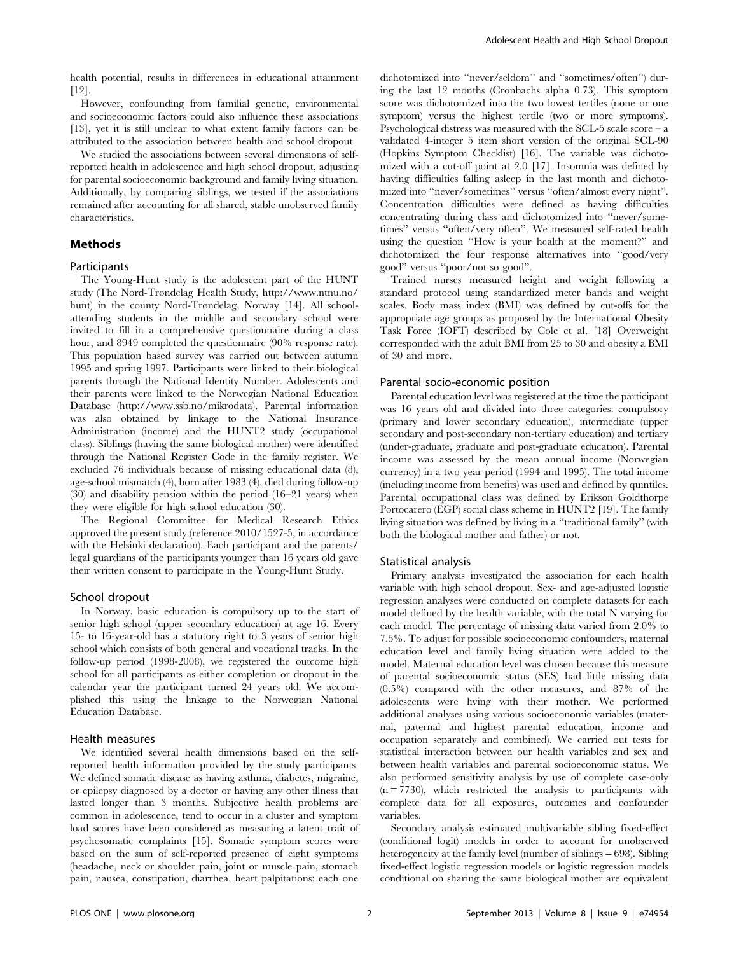health potential, results in differences in educational attainment [12].

However, confounding from familial genetic, environmental and socioeconomic factors could also influence these associations [13], yet it is still unclear to what extent family factors can be attributed to the association between health and school dropout.

We studied the associations between several dimensions of selfreported health in adolescence and high school dropout, adjusting for parental socioeconomic background and family living situation. Additionally, by comparing siblings, we tested if the associations remained after accounting for all shared, stable unobserved family characteristics.

## Methods

#### Participants

The Young-Hunt study is the adolescent part of the HUNT study (The Nord-Trøndelag Health Study, http://www.ntnu.no/ hunt) in the county Nord-Trøndelag, Norway [14]. All schoolattending students in the middle and secondary school were invited to fill in a comprehensive questionnaire during a class hour, and 8949 completed the questionnaire (90% response rate). This population based survey was carried out between autumn 1995 and spring 1997. Participants were linked to their biological parents through the National Identity Number. Adolescents and their parents were linked to the Norwegian National Education Database (http://www.ssb.no/mikrodata). Parental information was also obtained by linkage to the National Insurance Administration (income) and the HUNT2 study (occupational class). Siblings (having the same biological mother) were identified through the National Register Code in the family register. We excluded 76 individuals because of missing educational data (8), age-school mismatch (4), born after 1983 (4), died during follow-up (30) and disability pension within the period (16–21 years) when they were eligible for high school education (30).

The Regional Committee for Medical Research Ethics approved the present study (reference 2010/1527-5, in accordance with the Helsinki declaration). Each participant and the parents/ legal guardians of the participants younger than 16 years old gave their written consent to participate in the Young-Hunt Study.

## School dropout

In Norway, basic education is compulsory up to the start of senior high school (upper secondary education) at age 16. Every 15- to 16-year-old has a statutory right to 3 years of senior high school which consists of both general and vocational tracks. In the follow-up period (1998-2008), we registered the outcome high school for all participants as either completion or dropout in the calendar year the participant turned 24 years old. We accomplished this using the linkage to the Norwegian National Education Database.

#### Health measures

We identified several health dimensions based on the selfreported health information provided by the study participants. We defined somatic disease as having asthma, diabetes, migraine, or epilepsy diagnosed by a doctor or having any other illness that lasted longer than 3 months. Subjective health problems are common in adolescence, tend to occur in a cluster and symptom load scores have been considered as measuring a latent trait of psychosomatic complaints [15]. Somatic symptom scores were based on the sum of self-reported presence of eight symptoms (headache, neck or shoulder pain, joint or muscle pain, stomach pain, nausea, constipation, diarrhea, heart palpitations; each one dichotomized into ''never/seldom'' and ''sometimes/often'') during the last 12 months (Cronbachs alpha 0.73). This symptom score was dichotomized into the two lowest tertiles (none or one symptom) versus the highest tertile (two or more symptoms). Psychological distress was measured with the SCL-5 scale score  $-$  a validated 4-integer 5 item short version of the original SCL-90 (Hopkins Symptom Checklist) [16]. The variable was dichotomized with a cut-off point at 2.0 [17]. Insomnia was defined by having difficulties falling asleep in the last month and dichotomized into ''never/sometimes'' versus ''often/almost every night''. Concentration difficulties were defined as having difficulties concentrating during class and dichotomized into ''never/sometimes'' versus ''often/very often''. We measured self-rated health using the question ''How is your health at the moment?'' and dichotomized the four response alternatives into ''good/very good'' versus ''poor/not so good''.

Trained nurses measured height and weight following a standard protocol using standardized meter bands and weight scales. Body mass index (BMI) was defined by cut-offs for the appropriate age groups as proposed by the International Obesity Task Force (IOFT) described by Cole et al. [18] Overweight corresponded with the adult BMI from 25 to 30 and obesity a BMI of 30 and more.

#### Parental socio-economic position

Parental education level was registered at the time the participant was 16 years old and divided into three categories: compulsory (primary and lower secondary education), intermediate (upper secondary and post-secondary non-tertiary education) and tertiary (under-graduate, graduate and post-graduate education). Parental income was assessed by the mean annual income (Norwegian currency) in a two year period (1994 and 1995). The total income (including income from benefits) was used and defined by quintiles. Parental occupational class was defined by Erikson Goldthorpe Portocarero (EGP) social class scheme in HUNT2 [19]. The family living situation was defined by living in a ''traditional family'' (with both the biological mother and father) or not.

#### Statistical analysis

Primary analysis investigated the association for each health variable with high school dropout. Sex- and age-adjusted logistic regression analyses were conducted on complete datasets for each model defined by the health variable, with the total N varying for each model. The percentage of missing data varied from 2.0% to 7.5%. To adjust for possible socioeconomic confounders, maternal education level and family living situation were added to the model. Maternal education level was chosen because this measure of parental socioeconomic status (SES) had little missing data (0.5%) compared with the other measures, and 87% of the adolescents were living with their mother. We performed additional analyses using various socioeconomic variables (maternal, paternal and highest parental education, income and occupation separately and combined). We carried out tests for statistical interaction between our health variables and sex and between health variables and parental socioeconomic status. We also performed sensitivity analysis by use of complete case-only (n = 7730), which restricted the analysis to participants with complete data for all exposures, outcomes and confounder variables.

Secondary analysis estimated multivariable sibling fixed-effect (conditional logit) models in order to account for unobserved heterogeneity at the family level (number of siblings = 698). Sibling fixed-effect logistic regression models or logistic regression models conditional on sharing the same biological mother are equivalent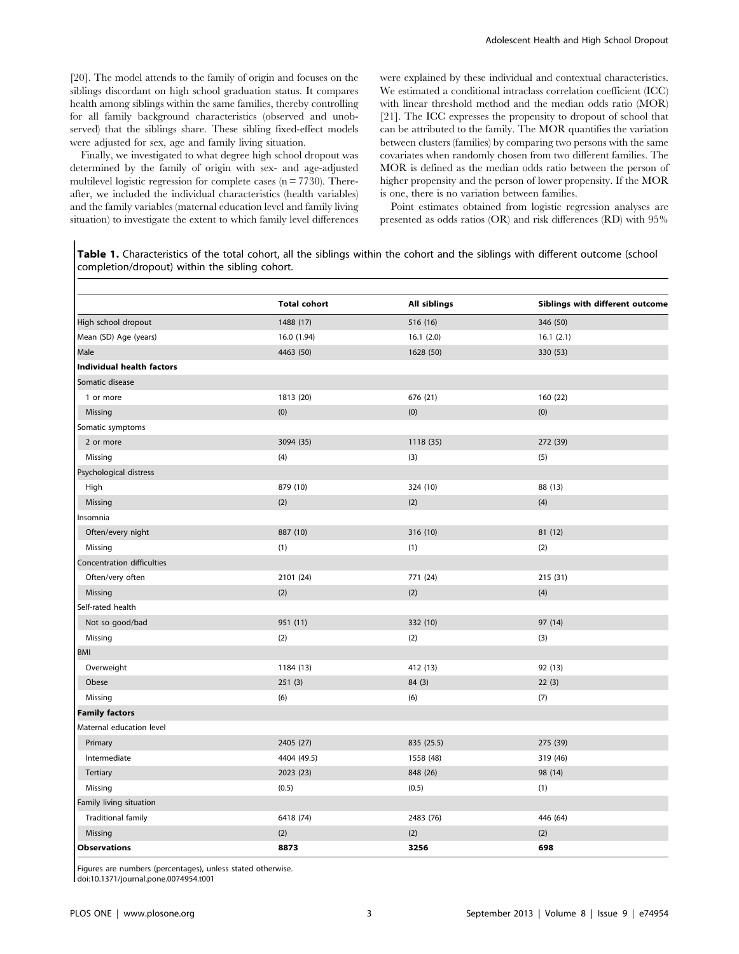[20]. The model attends to the family of origin and focuses on the siblings discordant on high school graduation status. It compares health among siblings within the same families, thereby controlling for all family background characteristics (observed and unobserved) that the siblings share. These sibling fixed-effect models were adjusted for sex, age and family living situation.

Finally, we investigated to what degree high school dropout was determined by the family of origin with sex- and age-adjusted multilevel logistic regression for complete cases  $(n = 7730)$ . Thereafter, we included the individual characteristics (health variables) and the family variables (maternal education level and family living situation) to investigate the extent to which family level differences were explained by these individual and contextual characteristics. We estimated a conditional intraclass correlation coefficient (ICC) with linear threshold method and the median odds ratio (MOR) [21]. The ICC expresses the propensity to dropout of school that can be attributed to the family. The MOR quantifies the variation between clusters (families) by comparing two persons with the same covariates when randomly chosen from two different families. The MOR is defined as the median odds ratio between the person of higher propensity and the person of lower propensity. If the MOR is one, there is no variation between families.

Point estimates obtained from logistic regression analyses are presented as odds ratios (OR) and risk differences (RD) with 95%

Table 1. Characteristics of the total cohort, all the siblings within the cohort and the siblings with different outcome (school completion/dropout) within the sibling cohort.

|                                  | <b>Total cohort</b> | <b>All siblings</b> | Siblings with different outcome |
|----------------------------------|---------------------|---------------------|---------------------------------|
| High school dropout              | 1488 (17)           | 516 (16)            | 346 (50)                        |
| Mean (SD) Age (years)            | 16.0 (1.94)         | 16.1(2.0)           | 16.1(2.1)                       |
| Male                             | 4463 (50)           | 1628 (50)           | 330 (53)                        |
| <b>Individual health factors</b> |                     |                     |                                 |
| Somatic disease                  |                     |                     |                                 |
| 1 or more                        | 1813 (20)           | 676 (21)            | 160 (22)                        |
| Missing                          | (0)                 | (0)                 | (0)                             |
| Somatic symptoms                 |                     |                     |                                 |
| 2 or more                        | 3094 (35)           | 1118 (35)           | 272 (39)                        |
| Missing                          | (4)                 | (3)                 | (5)                             |
| Psychological distress           |                     |                     |                                 |
| High                             | 879 (10)            | 324 (10)            | 88 (13)                         |
| Missing                          | (2)                 | (2)                 | (4)                             |
| Insomnia                         |                     |                     |                                 |
| Often/every night                | 887 (10)            | 316 (10)            | 81 (12)                         |
| Missing                          | (1)                 | (1)                 | (2)                             |
| Concentration difficulties       |                     |                     |                                 |
| Often/very often                 | 2101 (24)           | 771 (24)            | 215 (31)                        |
| Missing                          | (2)                 | (2)                 | (4)                             |
| Self-rated health                |                     |                     |                                 |
| Not so good/bad                  | 951 (11)            | 332 (10)            | 97 (14)                         |
| Missing                          | (2)                 | (2)                 | (3)                             |
| <b>BMI</b>                       |                     |                     |                                 |
| Overweight                       | 1184 (13)           | 412 (13)            | 92 (13)                         |
| Obese                            | 251(3)              | 84 (3)              | 22(3)                           |
| Missing                          | (6)                 | (6)                 | (7)                             |
| <b>Family factors</b>            |                     |                     |                                 |
| Maternal education level         |                     |                     |                                 |
| Primary                          | 2405 (27)           | 835 (25.5)          | 275 (39)                        |
| Intermediate                     | 4404 (49.5)         | 1558 (48)           | 319 (46)                        |
| Tertiary                         | 2023 (23)           | 848 (26)            | 98 (14)                         |
| Missing                          | (0.5)               | (0.5)               | (1)                             |
| Family living situation          |                     |                     |                                 |
| <b>Traditional family</b>        | 6418 (74)           | 2483 (76)           | 446 (64)                        |
| Missing                          | (2)                 | (2)                 | (2)                             |
| <b>Observations</b>              | 8873                | 3256                | 698                             |

Figures are numbers (percentages), unless stated otherwise.

doi:10.1371/journal.pone.0074954.t001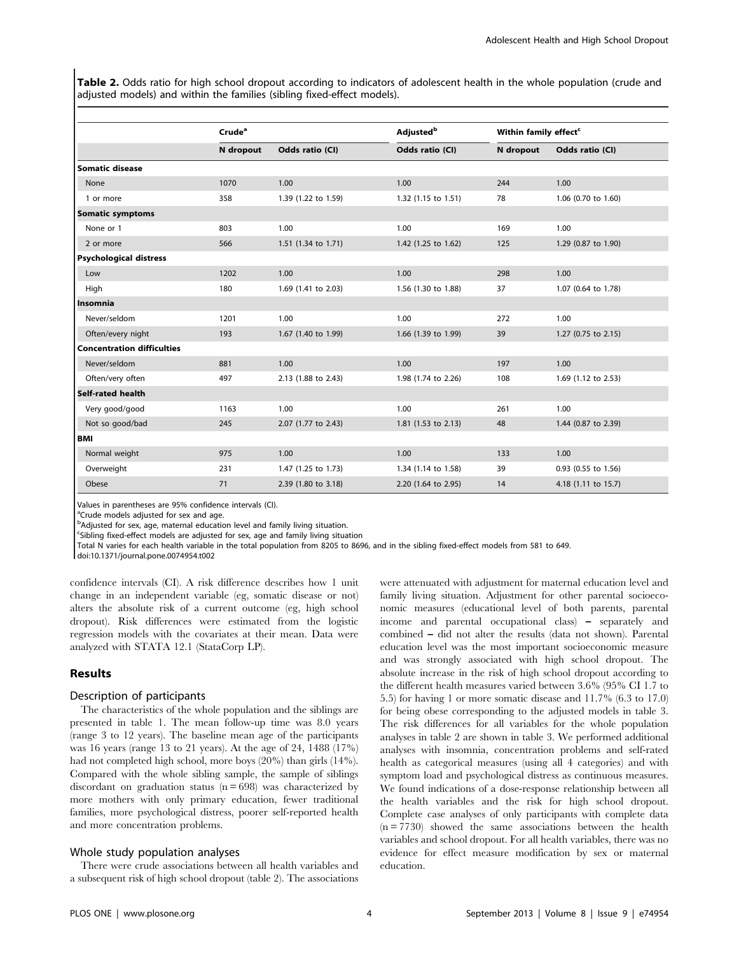Table 2. Odds ratio for high school dropout according to indicators of adolescent health in the whole population (crude and adjusted models) and within the families (sibling fixed-effect models).

|                               | Crude <sup>a</sup> |                     | <b>Adjusted</b> <sup>b</sup> | Within family effect <sup>c</sup> |                     |
|-------------------------------|--------------------|---------------------|------------------------------|-----------------------------------|---------------------|
|                               | N dropout          | Odds ratio (CI)     | Odds ratio (CI)              | N dropout                         | Odds ratio (CI)     |
| Somatic disease               |                    |                     |                              |                                   |                     |
| None                          | 1070               | 1.00                | 1.00                         | 244                               | 1.00                |
| 1 or more                     | 358                | 1.39 (1.22 to 1.59) | 1.32 (1.15 to 1.51)          | 78                                | 1.06 (0.70 to 1.60) |
| <b>Somatic symptoms</b>       |                    |                     |                              |                                   |                     |
| None or 1                     | 803                | 1.00                | 1.00                         | 169                               | 1.00                |
| 2 or more                     | 566                | 1.51 (1.34 to 1.71) | 1.42 (1.25 to 1.62)          | 125                               | 1.29 (0.87 to 1.90) |
| <b>Psychological distress</b> |                    |                     |                              |                                   |                     |
| Low                           | 1202               | 1.00                | 1.00                         | 298                               | 1.00                |
| High                          | 180                | 1.69 (1.41 to 2.03) | 1.56 (1.30 to 1.88)          | 37                                | 1.07 (0.64 to 1.78) |
| Insomnia                      |                    |                     |                              |                                   |                     |
| Never/seldom                  | 1201               | 1.00                | 1.00                         | 272                               | 1.00                |
| Often/every night             | 193                | 1.67 (1.40 to 1.99) | 1.66 (1.39 to 1.99)          | 39                                | 1.27 (0.75 to 2.15) |
| Concentration difficulties    |                    |                     |                              |                                   |                     |
| Never/seldom                  | 881                | 1.00                | 1.00                         | 197                               | 1.00                |
| Often/very often              | 497                | 2.13 (1.88 to 2.43) | 1.98 (1.74 to 2.26)          | 108                               | 1.69 (1.12 to 2.53) |
| <b>Self-rated health</b>      |                    |                     |                              |                                   |                     |
| Very good/good                | 1163               | 1.00                | 1.00                         | 261                               | 1.00                |
| Not so good/bad               | 245                | 2.07 (1.77 to 2.43) | 1.81 (1.53 to 2.13)          | 48                                | 1.44 (0.87 to 2.39) |
| і вмі                         |                    |                     |                              |                                   |                     |
| Normal weight                 | 975                | 1.00                | 1.00                         | 133                               | 1.00                |
| Overweight                    | 231                | 1.47 (1.25 to 1.73) | 1.34 (1.14 to 1.58)          | 39                                | 0.93 (0.55 to 1.56) |
| Obese                         | 71                 | 2.39 (1.80 to 3.18) | 2.20 (1.64 to 2.95)          | 14                                | 4.18 (1.11 to 15.7) |

Values in parentheses are 95% confidence intervals (CI).

<sup>a</sup>Crude models adjusted for sex and age.

<sup>b</sup>Adjusted for sex, age, maternal education level and family living situation.

c Sibling fixed-effect models are adjusted for sex, age and family living situation

Total N varies for each health variable in the total population from 8205 to 8696, and in the sibling fixed-effect models from 581 to 649.

doi:10.1371/journal.pone.0074954.t002

confidence intervals (CI). A risk difference describes how 1 unit change in an independent variable (eg, somatic disease or not) alters the absolute risk of a current outcome (eg, high school dropout). Risk differences were estimated from the logistic regression models with the covariates at their mean. Data were analyzed with STATA 12.1 (StataCorp LP).

## Results

## Description of participants

The characteristics of the whole population and the siblings are presented in table 1. The mean follow-up time was 8.0 years (range 3 to 12 years). The baseline mean age of the participants was 16 years (range 13 to 21 years). At the age of 24, 1488 (17%) had not completed high school, more boys (20%) than girls (14%). Compared with the whole sibling sample, the sample of siblings discordant on graduation status  $(n = 698)$  was characterized by more mothers with only primary education, fewer traditional families, more psychological distress, poorer self-reported health and more concentration problems.

#### Whole study population analyses

There were crude associations between all health variables and a subsequent risk of high school dropout (table 2). The associations were attenuated with adjustment for maternal education level and family living situation. Adjustment for other parental socioeconomic measures (educational level of both parents, parental income and parental occupational class) – separately and combined – did not alter the results (data not shown). Parental education level was the most important socioeconomic measure and was strongly associated with high school dropout. The absolute increase in the risk of high school dropout according to the different health measures varied between 3.6% (95% CI 1.7 to 5.5) for having 1 or more somatic disease and 11.7% (6.3 to 17.0) for being obese corresponding to the adjusted models in table 3. The risk differences for all variables for the whole population analyses in table 2 are shown in table 3. We performed additional analyses with insomnia, concentration problems and self-rated health as categorical measures (using all 4 categories) and with symptom load and psychological distress as continuous measures. We found indications of a dose-response relationship between all the health variables and the risk for high school dropout. Complete case analyses of only participants with complete data  $(n = 7730)$  showed the same associations between the health variables and school dropout. For all health variables, there was no evidence for effect measure modification by sex or maternal education.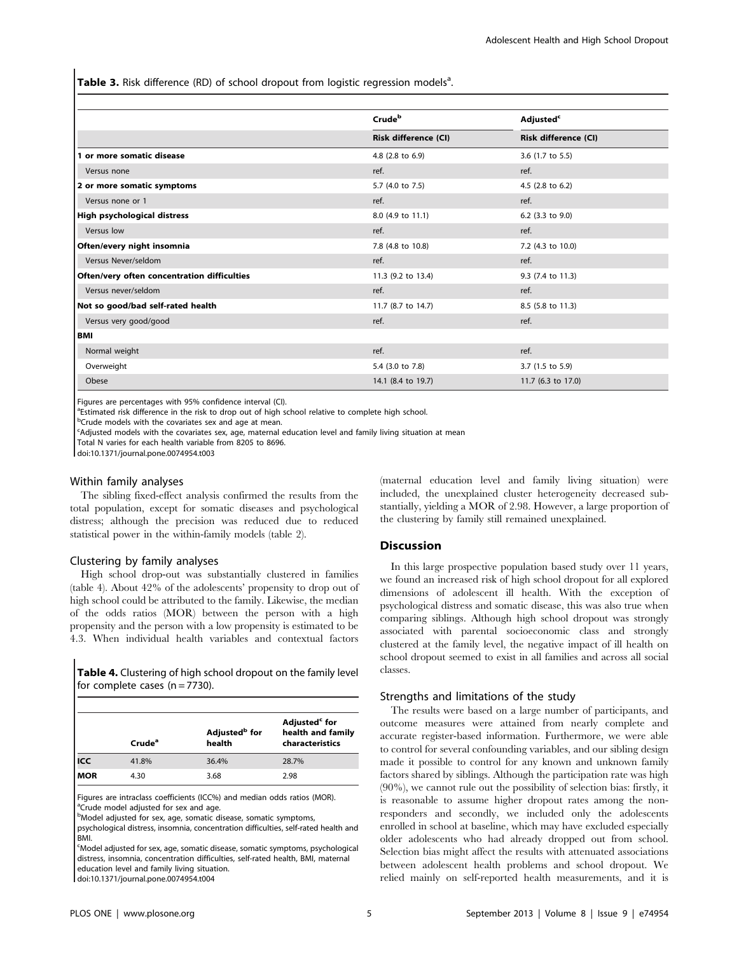Table 3. Risk difference (RD) of school dropout from logistic regression models<sup>a</sup>.

|                                             | Crude <sup>b</sup>          | <b>Adjusted<sup>c</sup></b><br><b>Risk difference (CI)</b> |  |
|---------------------------------------------|-----------------------------|------------------------------------------------------------|--|
|                                             | <b>Risk difference (CI)</b> |                                                            |  |
| 1 or more somatic disease                   | 4.8 (2.8 to 6.9)            | 3.6 (1.7 to 5.5)                                           |  |
| Versus none                                 | ref.                        | ref.                                                       |  |
| 2 or more somatic symptoms                  | 5.7 (4.0 to 7.5)            | 4.5 (2.8 to 6.2)                                           |  |
| Versus none or 1                            | ref.                        | ref.                                                       |  |
| High psychological distress                 | 8.0 (4.9 to 11.1)           | 6.2 (3.3 to 9.0)                                           |  |
| Versus low                                  | ref.                        | ref.                                                       |  |
| Often/every night insomnia                  | 7.8 (4.8 to 10.8)           | 7.2 (4.3 to 10.0)                                          |  |
| Versus Never/seldom                         | ref.                        | ref.                                                       |  |
| Often/very often concentration difficulties | 11.3 (9.2 to 13.4)          | 9.3 (7.4 to 11.3)                                          |  |
| Versus never/seldom                         | ref.                        | ref.                                                       |  |
| Not so good/bad self-rated health           | 11.7 (8.7 to 14.7)          | 8.5 (5.8 to 11.3)                                          |  |
| Versus very good/good                       | ref.                        | ref.                                                       |  |
| l BMI                                       |                             |                                                            |  |
| Normal weight                               | ref.                        | ref.                                                       |  |
| Overweight                                  | 5.4 (3.0 to 7.8)            | 3.7 (1.5 to 5.9)                                           |  |
| Obese                                       | 14.1 (8.4 to 19.7)          | 11.7 (6.3 to 17.0)                                         |  |

Figures are percentages with 95% confidence interval (CI).

<sup>a</sup>Estimated risk difference in the risk to drop out of high school relative to complete high school.

<sup>b</sup>Crude models with the covariates sex and age at mean.

<sup>c</sup>Adjusted models with the covariates sex, age, maternal education level and family living situation at mean

Total N varies for each health variable from 8205 to 8696.

doi:10.1371/journal.pone.0074954.t003

#### Within family analyses

The sibling fixed-effect analysis confirmed the results from the total population, except for somatic diseases and psychological distress; although the precision was reduced due to reduced statistical power in the within-family models (table 2).

#### Clustering by family analyses

High school drop-out was substantially clustered in families (table 4). About 42% of the adolescents' propensity to drop out of high school could be attributed to the family. Likewise, the median of the odds ratios (MOR) between the person with a high propensity and the person with a low propensity is estimated to be 4.3. When individual health variables and contextual factors

Table 4. Clustering of high school dropout on the family level for complete cases  $(n = 7730)$ .

|     | Crude <sup>a</sup> | Adjusted <sup>b</sup> for<br>health | Adjusted <sup>c</sup> for<br>health and family<br>characteristics |
|-----|--------------------|-------------------------------------|-------------------------------------------------------------------|
| ICC | 41.8%              | 36.4%                               | 28.7%                                                             |
| MOR | 4.30               | 3.68                                | 2.98                                                              |

Figures are intraclass coefficients (ICC%) and median odds ratios (MOR). <sup>a</sup>Crude model adjusted for sex and age.

bModel adjusted for sex, age, somatic disease, somatic symptoms,

psychological distress, insomnia, concentration difficulties, self-rated health and BMI.

<sup>c</sup>Model adjusted for sex, age, somatic disease, somatic symptoms, psychological distress, insomnia, concentration difficulties, self-rated health, BMI, maternal education level and family living situation.

doi:10.1371/journal.pone.0074954.t004

(maternal education level and family living situation) were included, the unexplained cluster heterogeneity decreased substantially, yielding a MOR of 2.98. However, a large proportion of the clustering by family still remained unexplained.

## Discussion

In this large prospective population based study over 11 years, we found an increased risk of high school dropout for all explored dimensions of adolescent ill health. With the exception of psychological distress and somatic disease, this was also true when comparing siblings. Although high school dropout was strongly associated with parental socioeconomic class and strongly clustered at the family level, the negative impact of ill health on school dropout seemed to exist in all families and across all social classes.

#### Strengths and limitations of the study

The results were based on a large number of participants, and outcome measures were attained from nearly complete and accurate register-based information. Furthermore, we were able to control for several confounding variables, and our sibling design made it possible to control for any known and unknown family factors shared by siblings. Although the participation rate was high (90%), we cannot rule out the possibility of selection bias: firstly, it is reasonable to assume higher dropout rates among the nonresponders and secondly, we included only the adolescents enrolled in school at baseline, which may have excluded especially older adolescents who had already dropped out from school. Selection bias might affect the results with attenuated associations between adolescent health problems and school dropout. We relied mainly on self-reported health measurements, and it is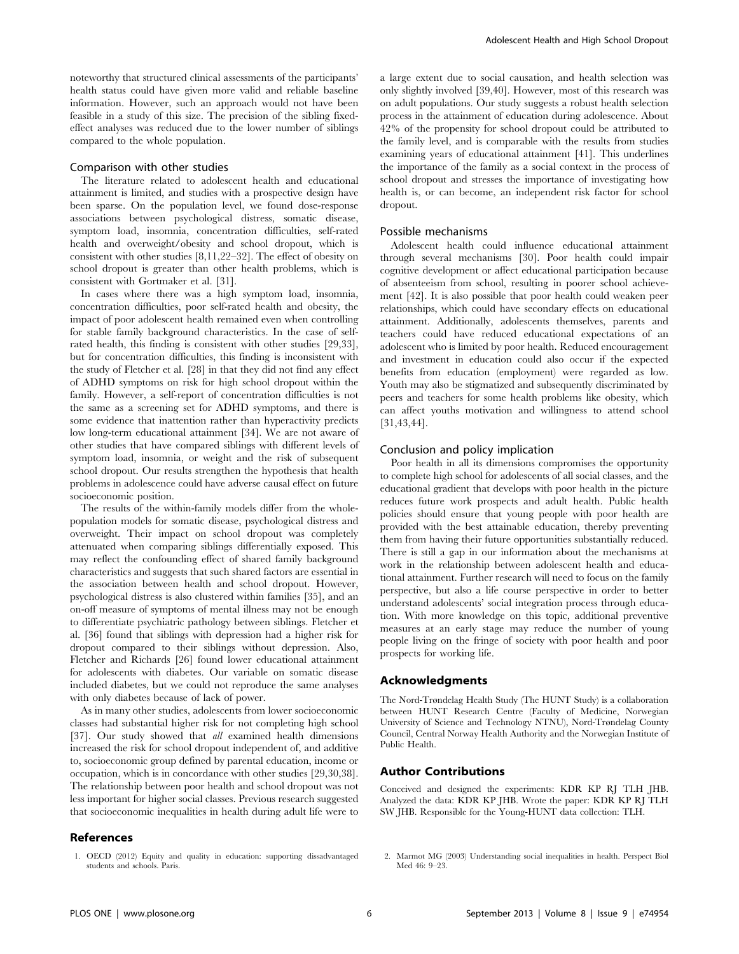noteworthy that structured clinical assessments of the participants' health status could have given more valid and reliable baseline information. However, such an approach would not have been feasible in a study of this size. The precision of the sibling fixedeffect analyses was reduced due to the lower number of siblings compared to the whole population.

#### Comparison with other studies

The literature related to adolescent health and educational attainment is limited, and studies with a prospective design have been sparse. On the population level, we found dose-response associations between psychological distress, somatic disease, symptom load, insomnia, concentration difficulties, self-rated health and overweight/obesity and school dropout, which is consistent with other studies [8,11,22–32]. The effect of obesity on school dropout is greater than other health problems, which is consistent with Gortmaker et al. [31].

In cases where there was a high symptom load, insomnia, concentration difficulties, poor self-rated health and obesity, the impact of poor adolescent health remained even when controlling for stable family background characteristics. In the case of selfrated health, this finding is consistent with other studies [29,33], but for concentration difficulties, this finding is inconsistent with the study of Fletcher et al. [28] in that they did not find any effect of ADHD symptoms on risk for high school dropout within the family. However, a self-report of concentration difficulties is not the same as a screening set for ADHD symptoms, and there is some evidence that inattention rather than hyperactivity predicts low long-term educational attainment [34]. We are not aware of other studies that have compared siblings with different levels of symptom load, insomnia, or weight and the risk of subsequent school dropout. Our results strengthen the hypothesis that health problems in adolescence could have adverse causal effect on future socioeconomic position.

The results of the within-family models differ from the wholepopulation models for somatic disease, psychological distress and overweight. Their impact on school dropout was completely attenuated when comparing siblings differentially exposed. This may reflect the confounding effect of shared family background characteristics and suggests that such shared factors are essential in the association between health and school dropout. However, psychological distress is also clustered within families [35], and an on-off measure of symptoms of mental illness may not be enough to differentiate psychiatric pathology between siblings. Fletcher et al. [36] found that siblings with depression had a higher risk for dropout compared to their siblings without depression. Also, Fletcher and Richards [26] found lower educational attainment for adolescents with diabetes. Our variable on somatic disease included diabetes, but we could not reproduce the same analyses with only diabetes because of lack of power.

As in many other studies, adolescents from lower socioeconomic classes had substantial higher risk for not completing high school [37]. Our study showed that all examined health dimensions increased the risk for school dropout independent of, and additive to, socioeconomic group defined by parental education, income or occupation, which is in concordance with other studies [29,30,38]. The relationship between poor health and school dropout was not less important for higher social classes. Previous research suggested that socioeconomic inequalities in health during adult life were to

## References

a large extent due to social causation, and health selection was only slightly involved [39,40]. However, most of this research was on adult populations. Our study suggests a robust health selection process in the attainment of education during adolescence. About 42% of the propensity for school dropout could be attributed to the family level, and is comparable with the results from studies examining years of educational attainment [41]. This underlines the importance of the family as a social context in the process of school dropout and stresses the importance of investigating how health is, or can become, an independent risk factor for school dropout.

## Possible mechanisms

Adolescent health could influence educational attainment through several mechanisms [30]. Poor health could impair cognitive development or affect educational participation because of absenteeism from school, resulting in poorer school achievement [42]. It is also possible that poor health could weaken peer relationships, which could have secondary effects on educational attainment. Additionally, adolescents themselves, parents and teachers could have reduced educational expectations of an adolescent who is limited by poor health. Reduced encouragement and investment in education could also occur if the expected benefits from education (employment) were regarded as low. Youth may also be stigmatized and subsequently discriminated by peers and teachers for some health problems like obesity, which can affect youths motivation and willingness to attend school [31,43,44].

#### Conclusion and policy implication

Poor health in all its dimensions compromises the opportunity to complete high school for adolescents of all social classes, and the educational gradient that develops with poor health in the picture reduces future work prospects and adult health. Public health policies should ensure that young people with poor health are provided with the best attainable education, thereby preventing them from having their future opportunities substantially reduced. There is still a gap in our information about the mechanisms at work in the relationship between adolescent health and educational attainment. Further research will need to focus on the family perspective, but also a life course perspective in order to better understand adolescents' social integration process through education. With more knowledge on this topic, additional preventive measures at an early stage may reduce the number of young people living on the fringe of society with poor health and poor prospects for working life.

## Acknowledgments

The Nord-Trøndelag Health Study (The HUNT Study) is a collaboration between HUNT Research Centre (Faculty of Medicine, Norwegian University of Science and Technology NTNU), Nord-Trøndelag County Council, Central Norway Health Authority and the Norwegian Institute of Public Health.

#### Author Contributions

Conceived and designed the experiments: KDR KP RJ TLH JHB. Analyzed the data: KDR KP JHB. Wrote the paper: KDR KP RJ TLH SW JHB. Responsible for the Young-HUNT data collection: TLH.

1. OECD (2012) Equity and quality in education: supporting dissadvantaged students and schools. Paris.

<sup>2.</sup> Marmot MG (2003) Understanding social inequalities in health. Perspect Biol Med 46: 9–23.